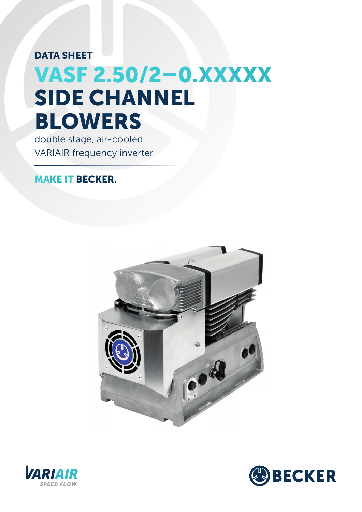## VASF 2.50/2–0.XXXXX DATA SHEET SIDE CHANNEL BLOWERS

double stage, air-cooled VARIAIR frequency inverter

## MAKE IT BECKER.





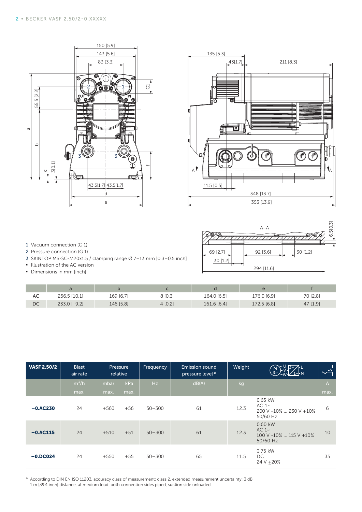



## 1 Vacuum connection (G 1) 2 Pressure connection (G 1)

- 3 SKINTOP MS-SC-M20x1.5 / clamping range Ø 7–13 mm [0.3–0.5 inch]
- **▪** Illustration of the AC version
- **▪** Dimensions in mm [inch]

|                      | $A - A$              | M<br>6.510 |
|----------------------|----------------------|------------|
| 69 [2.7]<br>30 [1.2] | 30 [1.2]<br>92 [3.6] |            |
|                      | 294 [11.6]           |            |

| AC | 256.5 [10.1]   | 169 [6.7] | 8 [0.3] | 164.0 [6.5] | 176.0 [6.9] | 70 [2.8] |
|----|----------------|-----------|---------|-------------|-------------|----------|
| DC | 9.2<br>233.0 [ | 146 [5.8] | 4[0.2]  | 161.6 [6.4] | 172.5 [6.8] | 47 [1.9] |

| $-5 [2.2]$<br>55.<br>$\varpi$<br>$\mathbf \Omega$<br>3[0.1]<br>$\cup$<br>1 Vacuum connection (G 1)<br>2 Pressure connection (G 1)<br>· Illustration of the AC version<br>• Dimensions in mm [inch] | ⊚<br>0<br>D<br>3 SKINTOP MS-SC-M20x1.5 / clamping range Ø 7-13 mm [0.3-0.5 inch]                                            | 83 [3.3]<br>43.5[1.7] 43.5[1.7]<br>d<br>e | ⊚<br>IN<br>o,<br>⊚<br>O<br>tiC T<br>Ͽ | 데                       |        | ∩<br>$A^{\mathbf{L}}$<br>11.5 [0.5]<br>69 [2.7]<br>30 [1.2]    | 43[1.7]<br>O<br>10  <br>o  | 348 [13.7]<br>353 [13.9]<br>$A - A$<br>92 [3.6]<br>294 [11.6] | 211 [8.3]<br>30 [1.2]                                                                                                                                                 | 屾<br>$\mathbf{v}_\mathrm{A}$<br>6.5[0.3] |
|----------------------------------------------------------------------------------------------------------------------------------------------------------------------------------------------------|-----------------------------------------------------------------------------------------------------------------------------|-------------------------------------------|---------------------------------------|-------------------------|--------|----------------------------------------------------------------|----------------------------|---------------------------------------------------------------|-----------------------------------------------------------------------------------------------------------------------------------------------------------------------|------------------------------------------|
| AC                                                                                                                                                                                                 | $\mathsf{a}$<br>256.5 [10.1]                                                                                                | $\sf b$<br>169 [6.7]                      |                                       | $\mathsf{c}$<br>8 [0.3] |        | $\operatorname{\mathsf{d}}$<br>164.0 [6.5]                     |                            | $\mathsf{e}% _{t}\left( t\right)$<br>176.0 [6.9]              | $\mathsf f$<br>70 [2.8]                                                                                                                                               |                                          |
| DC                                                                                                                                                                                                 | 233.0 [ 9.2]                                                                                                                | 146 [5.8]                                 |                                       |                         | 4[0.2] |                                                                | 161.6 [6.4]<br>172.5 [6.8] |                                                               | 47 [1.9]                                                                                                                                                              |                                          |
| <b>VASF 2.50/2</b>                                                                                                                                                                                 | <b>Blast</b><br>air rate<br>$m^3/h$                                                                                         | Pressure<br>relative<br>mbar              | kPa                                   | Frequency<br>Hz         |        | <b>Emission sound</b><br>pressure level <sup>1)</sup><br>dB(A) | Weight<br>kg               |                                                               | $\begin{array}{c} \begin{array}{c} 1 \ 3 \end{array} \\ \begin{array}{c} 3 \end{array} \\ \begin{array}{c} 3 \end{array} \\ \begin{array}{c} \end{array} \end{array}$ | $\overline{\rightarrow}$<br>$\mathsf{A}$ |
|                                                                                                                                                                                                    | max.                                                                                                                        | max.                                      | max.                                  |                         |        |                                                                |                            |                                                               |                                                                                                                                                                       | max.                                     |
| $-0.4C230$                                                                                                                                                                                         | 24                                                                                                                          | $+560$                                    | $+56$                                 | $50 - 300$              |        | 61                                                             | 12.3                       | 0.65 kW<br>AC $1~$<br>200 V -10%  230 V +10%<br>50/60 Hz      |                                                                                                                                                                       | 6                                        |
| $-0.$ AC115                                                                                                                                                                                        | 24                                                                                                                          | $+510$                                    | $+51$                                 | $50 - 300$              |        | 61                                                             | 12.3                       | 0.60 kW<br>AC $1~$<br>100 V -10%  115 V +10%<br>50/60 Hz      |                                                                                                                                                                       | 10                                       |
| $-0.$ DC024                                                                                                                                                                                        | 24                                                                                                                          | $+550$                                    | $+55$                                 | $50 - 300$              |        | 65                                                             | 11.5                       | 0.75 kW<br><b>DC</b><br>24 V ± 20%                            |                                                                                                                                                                       | 35                                       |
|                                                                                                                                                                                                    | <sup>1)</sup> According to DIN EN ISO 11203, accuracy class of measurement: class 2, extended measurement uncertainty: 3 dB |                                           |                                       |                         |        |                                                                |                            |                                                               |                                                                                                                                                                       |                                          |

<sup>1</sup> According to DIN EN ISO 11203, accuracy class of measurement: class 2, extended measurement uncertainty: 3 dB<br>1 m [39.4 inch] distance, at medium load. both connection sides piped, suction side unloaded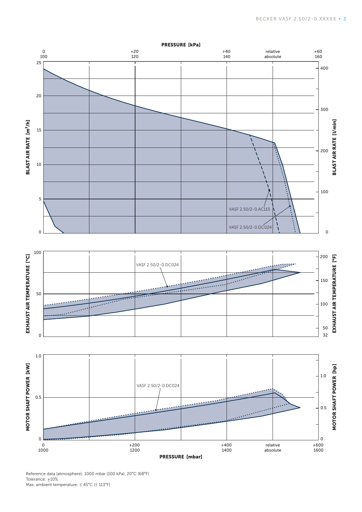

Reference data (atmosphere): 1000 mbar (100 kPa). 20°C (68°F) Tolerance:  $±10%$ Max. ambient temperature: ≤ 45°C (≤ 113°F)